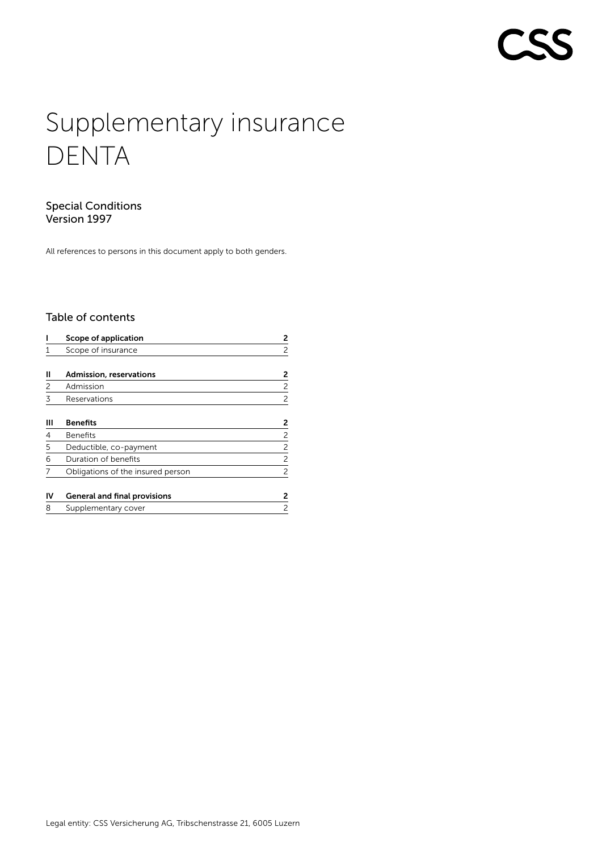# **COLLEGE**

# Supplementary insurance DENTA

# Special Conditions Version 1997

All references to persons in this document apply to both genders.

# Table of contents

|    | Scope of application                | 2              |
|----|-------------------------------------|----------------|
|    | Scope of insurance                  | 2              |
| Ш  | Admission, reservations             | 2              |
| 2  | Admission                           | 2              |
| 3  | Reservations                        | 2              |
| Ш  | <b>Benefits</b>                     | 2              |
| 4  | <b>Benefits</b>                     | 2              |
| 5  | Deductible, co-payment              | 2              |
| 6  | Duration of benefits                | $\overline{c}$ |
|    | Obligations of the insured person   | 2              |
| IV | <b>General and final provisions</b> | 2              |
| 8  | Supplementary cover                 | 2              |